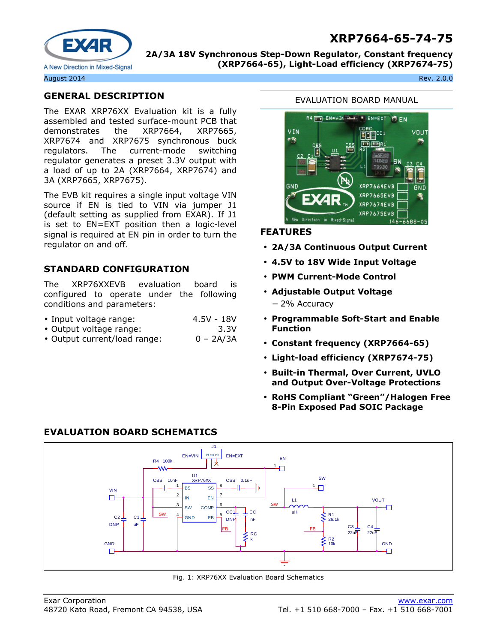# **XRP7664-65-74-75**



**2A/3A 18V Synchronous Step-Down Regulator, Constant frequency (XRP7664-65), Light-Load efficiency (XRP7674-75)** 

August 2014 Rev. 2.0.0

## **GENERAL DESCRIPTION**

The EXAR XRP76XX Evaluation kit is a fully assembled and tested surface-mount PCB that demonstrates the XRP7664, XRP7665, XRP7674 and XRP7675 synchronous buck regulators. The current-mode switching regulator generates a preset 3.3V output with a load of up to 2A (XRP7664, XRP7674) and 3A (XRP7665, XRP7675).

The EVB kit requires a single input voltage VIN source if EN is tied to VIN via jumper J1 (default setting as supplied from EXAR). If J1 is set to EN=EXT position then a logic-level signal is required at EN pin in order to turn the regulator on and off.

## **STANDARD CONFIGURATION**

The XRP76XXEVB evaluation board is configured to operate under the following conditions and parameters:

- Input voltage range: 4.5V 18V
- Output voltage range: 3.3V
- Output current/load range: 0 2A/3A

**EVALUATION BOARD SCHEMATICS** 

#### EVALUATION BOARD MANUAL



#### **FEATURES**

- **2A/3A Continuous Output Current**
- **4.5V to 18V Wide Input Voltage**
- **PWM Current-Mode Control**
- **Adjustable Output Voltage**  − 2% Accuracy
- **Programmable Soft-Start and Enable Function**
- **Constant frequency (XRP7664-65)**
- **Light-load efficiency (XRP7674-75)**
- **Built-in Thermal, Over Current, UVLO and Output Over-Voltage Protections**
- **RoHS Compliant "Green"/Halogen Free 8-Pin Exposed Pad SOIC Package**



Fig. 1: XRP76XX Evaluation Board Schematics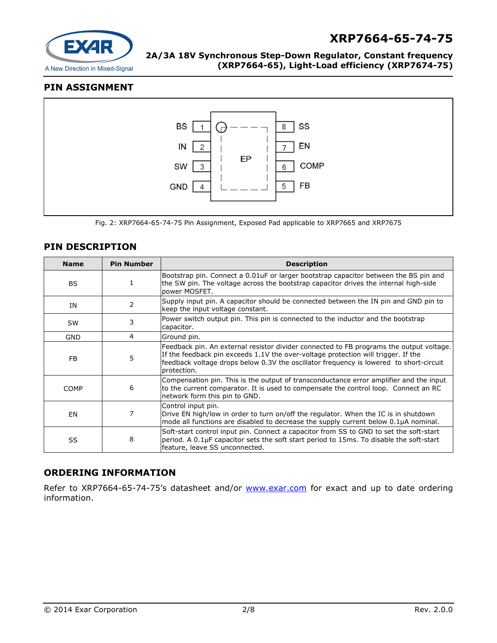

# **XRP7664-65-74-75**

**2A/3A 18V Synchronous Step-Down Regulator, Constant frequency (XRP7664-65), Light-Load efficiency (XRP7674-75)** 

#### **PIN ASSIGNMENT**



Fig. 2: XRP7664-65-74-75 Pin Assignment, Exposed Pad applicable to XRP7665 and XRP7675

#### **PIN DESCRIPTION**

| <b>Name</b> | <b>Pin Number</b> | <b>Description</b>                                                                                                                                                                                                                                                                    |
|-------------|-------------------|---------------------------------------------------------------------------------------------------------------------------------------------------------------------------------------------------------------------------------------------------------------------------------------|
| BS.         |                   | Bootstrap pin. Connect a 0.01uF or larger bootstrap capacitor between the BS pin and<br>the SW pin. The voltage across the bootstrap capacitor drives the internal high-side<br>power MOSFET.                                                                                         |
| ΙN          | 2                 | Supply input pin. A capacitor should be connected between the IN pin and GND pin to<br>keep the input voltage constant.                                                                                                                                                               |
| <b>SW</b>   | 3                 | Power switch output pin. This pin is connected to the inductor and the bootstrap<br>capacitor.                                                                                                                                                                                        |
| <b>GND</b>  | 4                 | Ground pin.                                                                                                                                                                                                                                                                           |
| FB.         | 5                 | Feedback pin. An external resistor divider connected to FB programs the output voltage.<br>If the feedback pin exceeds 1.1V the over-voltage protection will trigger. If the<br>feedback voltage drops below 0.3V the oscillator frequency is lowered to short-circuit<br>protection. |
| <b>COMP</b> | 6                 | Compensation pin. This is the output of transconductance error amplifier and the input<br>to the current comparator. It is used to compensate the control loop. Connect an RC<br>network form this pin to GND.                                                                        |
| EN          | 7                 | Control input pin.<br>Drive EN high/low in order to turn on/off the regulator. When the IC is in shutdown<br>mode all functions are disabled to decrease the supply current below 0.1µA nominal.                                                                                      |
| SS          | 8                 | Soft-start control input pin. Connect a capacitor from SS to GND to set the soft-start<br>period. A 0.1µF capacitor sets the soft start period to 15ms. To disable the soft-start<br>feature, leave SS unconnected.                                                                   |

#### **ORDERING INFORMATION**

Refer to XRP7664-65-74-75's datasheet and/or www.exar.com for exact and up to date ordering information.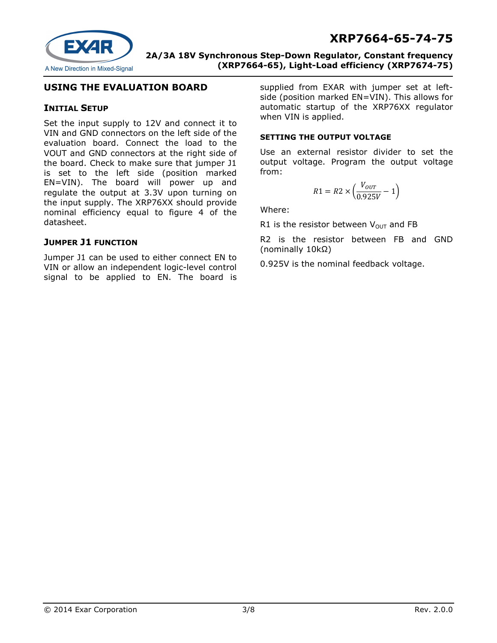

#### **USING THE EVALUATION BOARD**

#### **INITIAL SETUP**

Set the input supply to 12V and connect it to VIN and GND connectors on the left side of the evaluation board. Connect the load to the VOUT and GND connectors at the right side of the board. Check to make sure that jumper J1 is set to the left side (position marked EN=VIN). The board will power up and regulate the output at 3.3V upon turning on the input supply. The XRP76XX should provide nominal efficiency equal to figure 4 of the datasheet.

#### **JUMPER J1 FUNCTION**

Jumper J1 can be used to either connect EN to VIN or allow an independent logic-level control signal to be applied to EN. The board is

supplied from EXAR with jumper set at leftside (position marked EN=VIN). This allows for automatic startup of the XRP76XX regulator when VIN is applied.

#### **SETTING THE OUTPUT VOLTAGE**

Use an external resistor divider to set the output voltage. Program the output voltage from:

$$
R1 = R2 \times \left(\frac{V_{OUT}}{0.925V} - 1\right)
$$

Where:

R1 is the resistor between  $V_{\text{OUT}}$  and FB

R2 is the resistor between FB and GND (nominally 10kΩ)

0.925V is the nominal feedback voltage.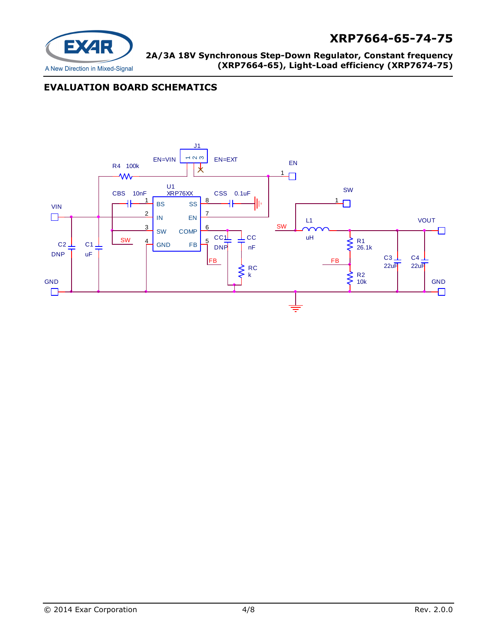

## **EVALUATION BOARD SCHEMATICS**

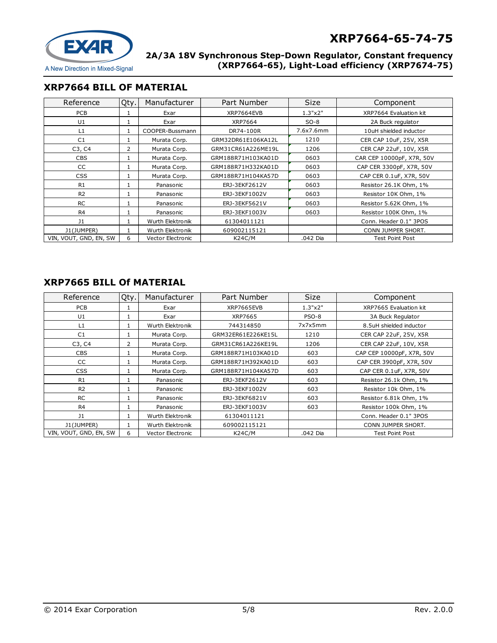

#### **XRP7664 BILL OF MATERIAL**

| Reference              | Qty. | Manufacturer      | Part Number        | <b>Size</b> | Component                 |
|------------------------|------|-------------------|--------------------|-------------|---------------------------|
| PCB                    |      | Exar              | XRP7664EVB         | 1.3"x2"     | XRP7664 Evaluation kit    |
| U1                     |      | Exar              | XRP7664            | $SO-8$      | 2A Buck regulator         |
| L1                     |      | COOPER-Bussmann   | DR74-100R          | 7.6x7.6mm   | 10uH shielded inductor    |
| C <sub>1</sub>         |      | Murata Corp.      | GRM32DR61E106KA12L | 1210        | CER CAP 10uF, 25V, X5R    |
| C3, C4                 | 2    | Murata Corp.      | GRM31CR61A226ME19L | 1206        | CER CAP 22uF, 10V, X5R    |
| <b>CBS</b>             |      | Murata Corp.      | GRM188R71H103KA01D | 0603        | CAR CEP 10000pF, X7R, 50V |
| CC                     | 1    | Murata Corp.      | GRM188R71H332KA01D | 0603        | CAP CER 3300pF, X7R, 50V  |
| <b>CSS</b>             |      | Murata Corp.      | GRM188R71H104KA57D | 0603        | CAP CER 0.1 uF, X7R, 50V  |
| R <sub>1</sub>         |      | Panasonic         | ERJ-3EKF2612V      | 0603        | Resistor 26.1K Ohm, 1%    |
| R <sub>2</sub>         |      | Panasonic         | ERJ-3EKF1002V      | 0603        | Resistor 10K Ohm, 1%      |
| <b>RC</b>              |      | Panasonic         | ERJ-3EKF5621V      | 0603        | Resistor 5.62K Ohm, 1%    |
| R <sub>4</sub>         |      | Panasonic         | ERJ-3EKF1003V      | 0603        | Resistor 100K Ohm, 1%     |
| J1                     | 1    | Wurth Elektronik  | 61304011121        |             | Conn. Header 0.1" 3POS    |
| J1(JUMPER)             |      | Wurth Elektronik  | 609002115121       |             | CONN JUMPER SHORT.        |
| VIN, VOUT, GND, EN, SW | 6    | Vector Electronic | <b>K24C/M</b>      | .042 Dia    | Test Point Post           |

## **XRP7665 BILL Of MATERIAL**

| Reference              | Qty. | Manufacturer      | Part Number        | <b>Size</b>  | Component                 |
|------------------------|------|-------------------|--------------------|--------------|---------------------------|
| <b>PCB</b>             |      | Exar              | XRP7665EVB         | 1.3"x2"      | XRP7665 Evaluation kit    |
| U1                     |      | Exar              | XRP7665            | <b>PSO-8</b> | 3A Buck Regulator         |
| L1                     |      | Wurth Elektronik  | 744314850          | 7x7x5mm      | 8.5uH shielded inductor   |
| C <sub>1</sub>         |      | Murata Corp.      | GRM32ER61E226KE15L | 1210         | CER CAP 22uF, 25V, X5R    |
| C3, C4                 | 2    | Murata Corp.      | GRM31CR61A226KE19L | 1206         | CER CAP 22uF, 10V, X5R    |
| <b>CBS</b>             |      | Murata Corp.      | GRM188R71H103KA01D | 603          | CAP CEP 10000pF, X7R, 50V |
| <b>CC</b>              | 1    | Murata Corp.      | GRM188R71H392KA01D | 603          | CAP CER 3900pF, X7R, 50V  |
| <b>CSS</b>             |      | Murata Corp.      | GRM188R71H104KA57D | 603          | CAP CER 0.1 uF, X7R, 50V  |
| R1                     |      | Panasonic         | ERJ-3EKF2612V      | 603          | Resistor 26.1k Ohm, 1%    |
| R <sub>2</sub>         |      | Panasonic         | ERJ-3EKF1002V      | 603          | Resistor 10k Ohm, 1%      |
| <b>RC</b>              |      | Panasonic         | ERJ-3EKF6821V      | 603          | Resistor 6.81k Ohm, 1%    |
| R4                     |      | Panasonic         | ERJ-3EKF1003V      | 603          | Resistor 100k Ohm, 1%     |
| J1                     |      | Wurth Elektronik  | 61304011121        |              | Conn. Header 0.1" 3POS    |
| J1(JUMPER)             |      | Wurth Elektronik  | 609002115121       |              | CONN JUMPER SHORT.        |
| VIN, VOUT, GND, EN, SW | 6    | Vector Electronic | K24C/M             | .042 Dia     | Test Point Post           |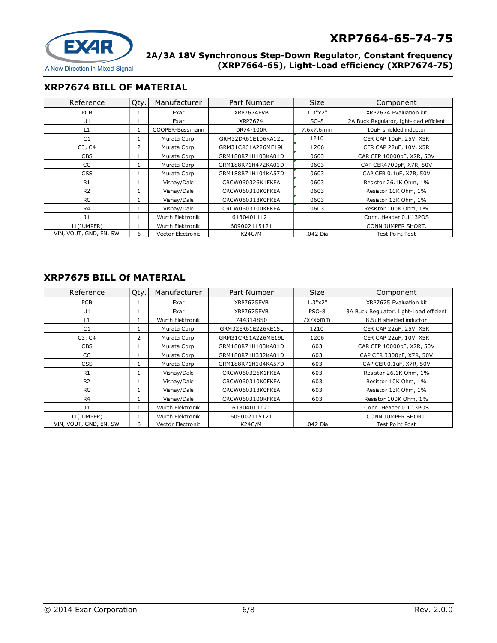

#### **XRP7674 BILL OF MATERIAL**

| Reference              | Qty. | Manufacturer      | Part Number        | <b>Size</b> | Component                               |
|------------------------|------|-------------------|--------------------|-------------|-----------------------------------------|
| <b>PCB</b>             |      | Exar              | XRP7674EVB         | 1.3"x2"     | XRP7674 Evaluation kit                  |
| U1                     |      | Exar              | XRP7674            | $SO-8$      | 2A Buck Regulator, light-load efficient |
| L1                     |      | COOPER-Bussmann   | DR74-100R          | 7.6x7.6mm   | 10uH shielded inductor                  |
| C1                     |      | Murata Corp.      | GRM32DR61E106KA12L | 1210        | CER CAP 10uF, 25V, X5R                  |
| C3, C4                 | 2    | Murata Corp.      | GRM31CR61A226ME19L | 1206        | CER CAP 22uF, 10V, X5R                  |
| <b>CBS</b>             |      | Murata Corp.      | GRM188R71H103KA01D | 0603        | CAR CEP 10000pF, X7R, 50V               |
| CC                     |      | Murata Corp.      | GRM188R71H472KA01D | 0603        | CAP CER4700pF, X7R, 50V                 |
| <b>CSS</b>             |      | Murata Corp.      | GRM188R71H104KA57D | 0603        | CAP CER 0.1uF, X7R, 50V                 |
| R1                     |      | Vishay/Dale       | CRCW060326K1FKEA   | 0603        | Resistor 26.1K Ohm, 1%                  |
| R <sub>2</sub>         |      | Vishay/Dale       | CRCW060310K0FKEA   | 0603        | Resistor 10K Ohm, 1%                    |
| <b>RC</b>              |      | Vishay/Dale       | CRCW060313K0FKEA   | 0603        | Resistor 13K Ohm, 1%                    |
| R4                     |      | Vishay/Dale       | CRCW0603100KFKEA   | 0603        | Resistor 100K Ohm, 1%                   |
| 11                     |      | Wurth Elektronik  | 61304011121        |             | Conn. Header 0.1" 3POS                  |
| J1(JUMPER)             |      | Wurth Elektronik  | 609002115121       |             | CONN JUMPER SHORT.                      |
| VIN, VOUT, GND, EN, SW | 6    | Vector Electronic | <b>K24C/M</b>      | .042 Dia    | <b>Test Point Post</b>                  |

## **XRP7675 BILL Of MATERIAL**

| Reference              | Qty. | Manufacturer             | Part Number        | <b>Size</b> | Component                               |
|------------------------|------|--------------------------|--------------------|-------------|-----------------------------------------|
| <b>PCB</b>             |      | Exar                     | XRP7675EVB         | 1.3"x2"     | XRP7675 Evaluation kit                  |
| U1                     |      | Exar                     | XRP7675EVB         | PSO-8       | 3A Buck Regulator, Light-Load efficient |
| L1                     |      | Wurth Elektronik         | 744314850          | 7x7x5mm     | 8.5uH shielded inductor                 |
| C <sub>1</sub>         |      | Murata Corp.             | GRM32ER61E226KE15L | 1210        | CER CAP 22uF, 25V, X5R                  |
| C3, C4                 | 2    | Murata Corp.             | GRM31CR61A226ME19L | 1206        | CER CAP 22uF, 10V, X5R                  |
| <b>CBS</b>             |      | Murata Corp.             | GRM188R71H103KA01D | 603         | CAR CEP 10000pF, X7R, 50V               |
| CC                     |      | Murata Corp.             | GRM188R71H332KA01D | 603         | CAP CER 3300pF, X7R, 50V                |
| <b>CSS</b>             |      | Murata Corp.             | GRM188R71H104KA57D | 603         | CAP CER 0.1uF, X7R, 50V                 |
| R <sub>1</sub>         |      | Vishay/Dale              | CRCW060326K1FKEA   | 603         | Resistor 26.1K Ohm, 1%                  |
| R <sub>2</sub>         |      | Vishay/Dale              | CRCW060310K0FKEA   | 603         | Resistor 10K Ohm, 1%                    |
| <b>RC</b>              |      | Vishay/Dale              | CRCW060313K0FKEA   | 603         | Resistor 13K Ohm, 1%                    |
| R <sub>4</sub>         |      | Vishay/Dale              | CRCW0603100KFKEA   | 603         | Resistor 100K Ohm, 1%                   |
| J <sub>1</sub>         |      | Wurth Elektronik         | 61304011121        |             | Conn. Header 0.1" 3POS                  |
| J1(JUMPER)             |      | Wurth Elektronik         | 609002115121       |             | CONN JUMPER SHORT.                      |
| VIN, VOUT, GND, EN, SW | 6    | <b>Vector Electronic</b> | K24C/M             | .042 Dia    | Test Point Post                         |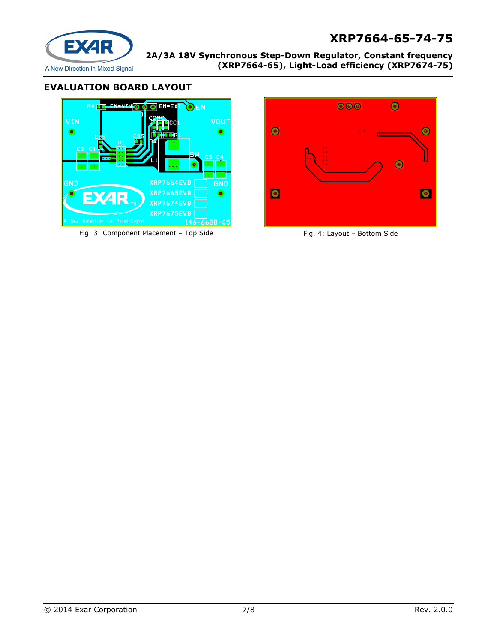# **XRP7664-65-74-75**



**2A/3A 18V Synchronous Step-Down Regulator, Constant frequency (XRP7664-65), Light-Load efficiency (XRP7674-75)** 

## **EVALUATION BOARD LAYOUT**



Fig. 3: Component Placement – Top Side Fig. 4: Layout – Bottom Side